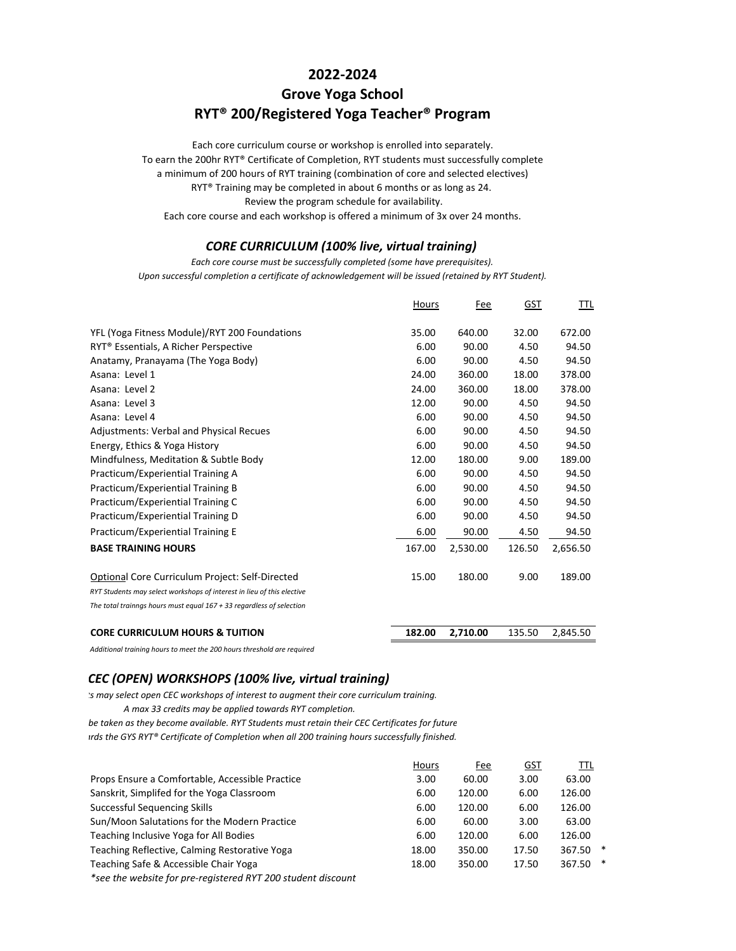### **2022‐2024**

# **Grove Yoga School RYT® 200/Registered Yoga Teacher® Program**

Each core curriculum course or workshop is enrolled into separately. To earn the 200hr RYT® Certificate of Completion, RYT students must successfully complete a minimum of 200 hours of RYT training (combination of core and selected electives) RYT® Training may be completed in about 6 months or as long as 24. Review the program schedule for availability.

Each core course and each workshop is offered a minimum of 3x over 24 months.

#### *CORE CURRICULUM (100% live, virtual training)*

*Upon successful completion a certificate of acknowledgement will be issued (retained by RYT Student). Each core course must be successfully completed (some have prerequisites).*

|                                                                        | Hours  | Fee      | <u>GST</u> | TTL      |
|------------------------------------------------------------------------|--------|----------|------------|----------|
| YFL (Yoga Fitness Module)/RYT 200 Foundations                          | 35.00  | 640.00   | 32.00      | 672.00   |
|                                                                        |        |          |            |          |
| RYT <sup>®</sup> Essentials, A Richer Perspective                      | 6.00   | 90.00    | 4.50       | 94.50    |
| Anatamy, Pranayama (The Yoga Body)                                     | 6.00   | 90.00    | 4.50       | 94.50    |
| Asana: Level 1                                                         | 24.00  | 360.00   | 18.00      | 378.00   |
| Asana: Level 2                                                         | 24.00  | 360.00   | 18.00      | 378.00   |
| Asana: Level 3                                                         | 12.00  | 90.00    | 4.50       | 94.50    |
| Asana: Level 4                                                         | 6.00   | 90.00    | 4.50       | 94.50    |
| <b>Adjustments: Verbal and Physical Recues</b>                         | 6.00   | 90.00    | 4.50       | 94.50    |
| Energy, Ethics & Yoga History                                          | 6.00   | 90.00    | 4.50       | 94.50    |
| Mindfulness, Meditation & Subtle Body                                  | 12.00  | 180.00   | 9.00       | 189.00   |
| Practicum/Experiential Training A                                      | 6.00   | 90.00    | 4.50       | 94.50    |
| Practicum/Experiential Training B                                      | 6.00   | 90.00    | 4.50       | 94.50    |
| Practicum/Experiential Training C                                      | 6.00   | 90.00    | 4.50       | 94.50    |
| Practicum/Experiential Training D                                      | 6.00   | 90.00    | 4.50       | 94.50    |
| Practicum/Experiential Training E                                      | 6.00   | 90.00    | 4.50       | 94.50    |
| <b>BASE TRAINING HOURS</b>                                             | 167.00 | 2,530.00 | 126.50     | 2,656.50 |
| Optional Core Curriculum Project: Self-Directed                        | 15.00  | 180.00   | 9.00       | 189.00   |
| RYT Students may select workshops of interest in lieu of this elective |        |          |            |          |
| The total trainngs hours must equal $167 + 33$ regardless of selection |        |          |            |          |
| <b>CORE CURRICULUM HOURS &amp; TUITION</b>                             | 182.00 | 2,710.00 | 135.50     | 2,845.50 |

*Additional training hours to meet the 200 hours threshold are required*

#### *CEC (OPEN) WORKSHOPS (100% live, virtual training)*

*ts may select open CEC workshops of interest to augment their core curriculum training.*

*A max 33 credits may be applied towards RYT completion.*

*be taken as they become available. RYT Students must retain their CEC Certificates for future*

*ards the GYS RYT® Certificate of Completion when all 200 training hours successfully finished.*

|                                                                   | Hours | Fee    | GST   | TTL    |   |
|-------------------------------------------------------------------|-------|--------|-------|--------|---|
| Props Ensure a Comfortable, Accessible Practice                   | 3.00  | 60.00  | 3.00  | 63.00  |   |
| Sanskrit, Simplifed for the Yoga Classroom                        | 6.00  | 120.00 | 6.00  | 126.00 |   |
| Successful Sequencing Skills                                      | 6.00  | 120.00 | 6.00  | 126.00 |   |
| Sun/Moon Salutations for the Modern Practice                      | 6.00  | 60.00  | 3.00  | 63.00  |   |
| Teaching Inclusive Yoga for All Bodies                            | 6.00  | 120.00 | 6.00  | 126.00 |   |
| Teaching Reflective, Calming Restorative Yoga                     | 18.00 | 350.00 | 17.50 | 367.50 | ∗ |
| Teaching Safe & Accessible Chair Yoga                             | 18.00 | 350.00 | 17.50 | 367.50 | * |
| $*_{ceo}$ the website for are registered BVT 200 student discount |       |        |       |        |   |

*\*see the website for pre‐registered RYT 200 student discount*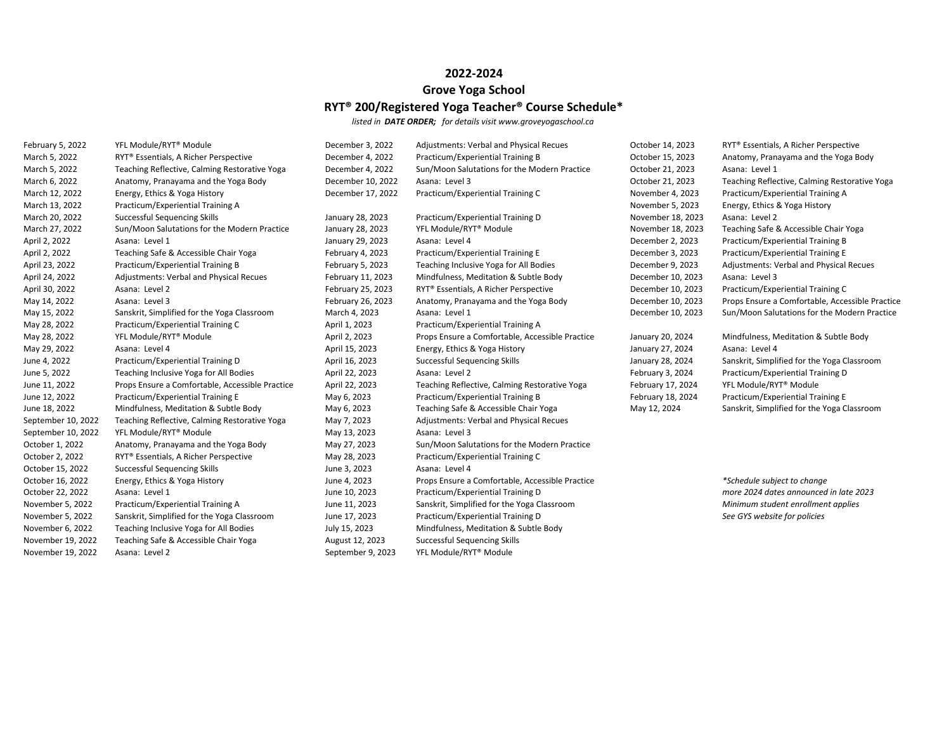#### **2022‐2024**

## **Grove Yoga School RYT® 200/Registered Yoga Teacher® Course Schedule\***

*listed in DATE ORDER; for details visit www.groveyogaschool.ca*

| February 5, 2022   | YFL Module/RYT® Module                            | December 3, 2022  | <b>Adjustments: Verbal and Physical Recues</b>  | October 14, 2023  | RYT® Essentials, A Richer Perspective           |
|--------------------|---------------------------------------------------|-------------------|-------------------------------------------------|-------------------|-------------------------------------------------|
| March 5, 2022      | RYT <sup>®</sup> Essentials, A Richer Perspective | December 4, 2022  | Practicum/Experiential Training B               | October 15, 2023  | Anatomy, Pranayama and the Yoga Body            |
| March 5, 2022      | Teaching Reflective, Calming Restorative Yoga     | December 4, 2022  | Sun/Moon Salutations for the Modern Practice    | October 21, 2023  | Asana: Level 1                                  |
| March 6, 2022      | Anatomy, Pranayama and the Yoga Body              | December 10, 2022 | Asana: Level 3                                  | October 21, 2023  | Teaching Reflective, Calming Restorative Yoga   |
| March 12, 2022     | Energy, Ethics & Yoga History                     | December 17, 2022 | Practicum/Experiential Training C               | November 4, 2023  | Practicum/Experiential Training A               |
| March 13, 2022     | Practicum/Experiential Training A                 |                   |                                                 | November 5, 2023  | Energy, Ethics & Yoga History                   |
| March 20, 2022     | Successful Sequencing Skills                      | January 28, 2023  | Practicum/Experiential Training D               | November 18, 2023 | Asana: Level 2                                  |
| March 27, 2022     | Sun/Moon Salutations for the Modern Practice      | January 28, 2023  | YFL Module/RYT <sup>®</sup> Module              | November 18, 2023 | Teaching Safe & Accessible Chair Yoga           |
| April 2, 2022      | Asana: Level 1                                    | January 29, 2023  | Asana: Level 4                                  | December 2, 2023  | Practicum/Experiential Training B               |
| April 2, 2022      | Teaching Safe & Accessible Chair Yoga             | February 4, 2023  | Practicum/Experiential Training E               | December 3, 2023  | Practicum/Experiential Training E               |
| April 23, 2022     | Practicum/Experiential Training B                 | February 5, 2023  | Teaching Inclusive Yoga for All Bodies          | December 9, 2023  | Adjustments: Verbal and Physical Recues         |
| April 24, 2022     | Adjustments: Verbal and Physical Recues           | February 11, 2023 | Mindfulness, Meditation & Subtle Body           | December 10, 2023 | Asana: Level 3                                  |
| April 30, 2022     | Asana: Level 2                                    | February 25, 2023 | RYT® Essentials, A Richer Perspective           | December 10, 2023 | Practicum/Experiential Training C               |
| May 14, 2022       | Asana: Level 3                                    | February 26, 2023 | Anatomy, Pranayama and the Yoga Body            | December 10, 2023 | Props Ensure a Comfortable, Accessible Practice |
| May 15, 2022       | Sanskrit, Simplified for the Yoga Classroom       | March 4, 2023     | Asana: Level 1                                  | December 10, 2023 | Sun/Moon Salutations for the Modern Practice    |
| May 28, 2022       | Practicum/Experiential Training C                 | April 1, 2023     | Practicum/Experiential Training A               |                   |                                                 |
| May 28, 2022       | YFL Module/RYT® Module                            | April 2, 2023     | Props Ensure a Comfortable, Accessible Practice | January 20, 2024  | Mindfulness, Meditation & Subtle Body           |
| May 29, 2022       | Asana: Level 4                                    | April 15, 2023    | Energy, Ethics & Yoga History                   | January 27, 2024  | Asana: Level 4                                  |
| June 4, 2022       | Practicum/Experiential Training D                 | April 16, 2023    | Successful Sequencing Skills                    | January 28, 2024  | Sanskrit, Simplified for the Yoga Classroom     |
| June 5, 2022       | Teaching Inclusive Yoga for All Bodies            | April 22, 2023    | Asana: Level 2                                  | February 3, 2024  | Practicum/Experiential Training D               |
| June 11, 2022      | Props Ensure a Comfortable, Accessible Practice   | April 22, 2023    | Teaching Reflective, Calming Restorative Yoga   | February 17, 2024 | YFL Module/RYT <sup>®</sup> Module              |
| June 12, 2022      | Practicum/Experiential Training E                 | May 6, 2023       | Practicum/Experiential Training B               | February 18, 2024 | Practicum/Experiential Training E               |
| June 18, 2022      | Mindfulness, Meditation & Subtle Body             | May 6, 2023       | Teaching Safe & Accessible Chair Yoga           | May 12, 2024      | Sanskrit, Simplified for the Yoga Classroom     |
| September 10, 2022 | Teaching Reflective, Calming Restorative Yoga     | May 7, 2023       | Adjustments: Verbal and Physical Recues         |                   |                                                 |
| September 10, 2022 | YFL Module/RYT <sup>®</sup> Module                | May 13, 2023      | Asana: Level 3                                  |                   |                                                 |
| October 1, 2022    | Anatomy, Pranayama and the Yoga Body              | May 27, 2023      | Sun/Moon Salutations for the Modern Practice    |                   |                                                 |
| October 2, 2022    | RYT <sup>®</sup> Essentials, A Richer Perspective | May 28, 2023      | Practicum/Experiential Training C               |                   |                                                 |
| October 15, 2022   | Successful Sequencing Skills                      | June 3, 2023      | Asana: Level 4                                  |                   |                                                 |
| October 16, 2022   | Energy, Ethics & Yoga History                     | June 4, 2023      | Props Ensure a Comfortable, Accessible Practice |                   | *Schedule subject to change                     |
| October 22, 2022   | Asana: Level 1                                    | June 10, 2023     | Practicum/Experiential Training D               |                   | more 2024 dates announced in late 2023          |
| November 5, 2022   | Practicum/Experiential Training A                 | June 11, 2023     | Sanskrit, Simplified for the Yoga Classroom     |                   | Minimum student enrollment applies              |
| November 5, 2022   | Sanskrit, Simplified for the Yoga Classroom       | June 17, 2023     | Practicum/Experiential Training D               |                   | See GYS website for policies                    |
| November 6, 2022   | Teaching Inclusive Yoga for All Bodies            | July 15, 2023     | Mindfulness, Meditation & Subtle Body           |                   |                                                 |
| November 19, 2022  | Teaching Safe & Accessible Chair Yoga             | August 12, 2023   | Successful Sequencing Skills                    |                   |                                                 |
| November 19, 2022  | Asana: Level 2                                    | September 9, 2023 | YFL Module/RYT <sup>®</sup> Module              |                   |                                                 |